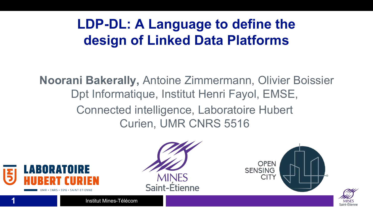# **LDP-DL: A Language to define the design of Linked Data Platforms**

**Noorani Bakerally,** Antoine Zimmermann, Olivier Boissier Dpt Informatique, Institut Henri Fayol, EMSE, Connected intelligence, Laboratoire Hubert Curien, UMR CNRS 5516



**Saint-Etienne** 



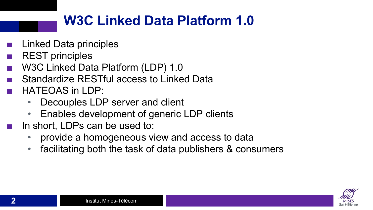# **W3C Linked Data Platform 1.0**

- **Linked Data principles**
- REST principles
- W3C Linked Data Platform (LDP) 1.0
- Standardize RESTful access to Linked Data
- HATEOAS in LDP:
	- Decouples LDP server and client
	- Enables development of generic LDP clients
- In short, LDPs can be used to:
	- provide a homogeneous view and access to data
	- facilitating both the task of data publishers & consumers

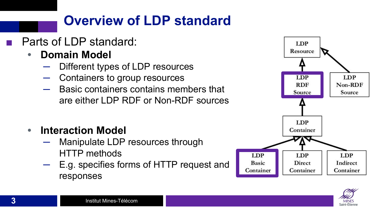# **Overview of LDP standard**

- Parts of LDP standard:
	- **• Domain Model**
		- Different types of LDP resources
		- Containers to group resources
		- ─ Basic containers contains members that are either LDP RDF or Non-RDF sources
	- **• Interaction Model**
		- Manipulate LDP resources through HTTP methods
		- E.g. specifies forms of HTTP request and responses



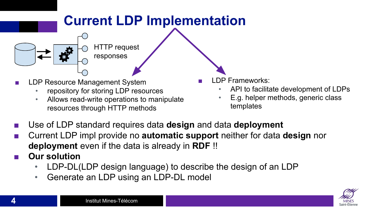# **Current LDP Implementation** HTTP request responses

- LDP Resource Management System
	- repository for storing LDP resources
	- Allows read-write operations to manipulate resources through HTTP methods
- LDP Frameworks:
	- API to facilitate development of LDPs
	- E.g. helper methods, generic class templates
- Use of LDP standard requires data **design** and data **deployment**
- Current LDP impl provide no **automatic support** neither for data **design** nor **deployment** even if the data is already in **RDF** !!
- **Our solution** 
	- LDP-DL(LDP design language) to describe the design of an LDP
	- Generate an LDP using an LDP-DL model

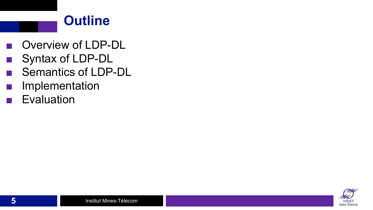#### **Outline**

- Overview of LDP-DL
- Syntax of LDP-DL
- Semantics of LDP-DL
- Implementation
- Evaluation

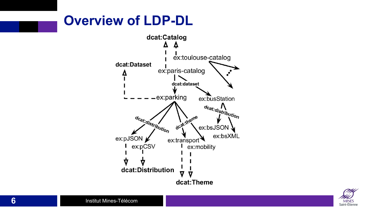# **Overview of LDP-DL**



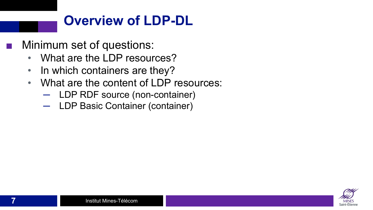## **Overview of LDP-DL**

Minimum set of questions:

- What are the LDP resources?
- In which containers are they?
- What are the content of LDP resources:
	- ─ LDP RDF source (non-container)
	- ─ LDP Basic Container (container)

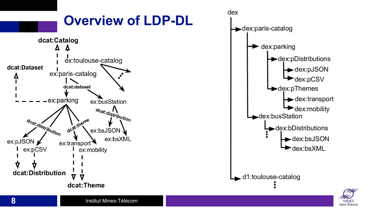

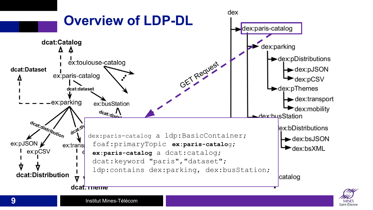

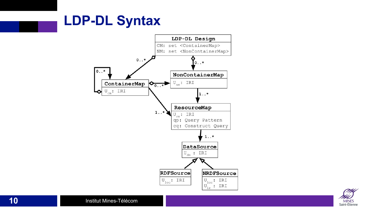#### **LDP-DL Syntax**



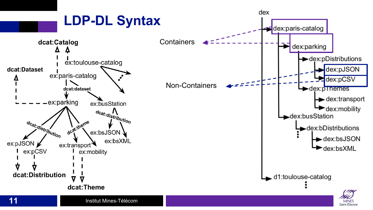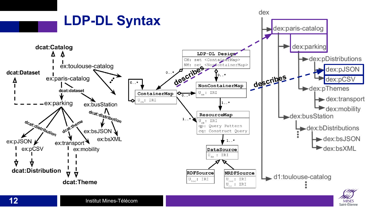

Saint-Étienn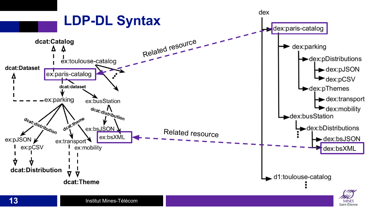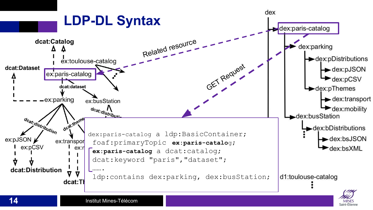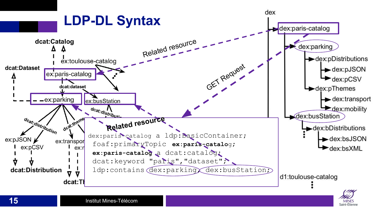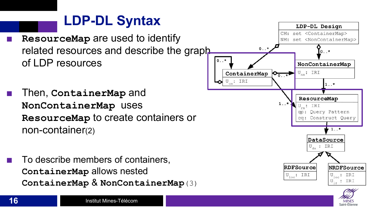## **LDP-DL Syntax**

- **ResourceMap** are used to identify related resources and describe the graph of LDP resources
- Then, **ContainerMap** and **NonContainerMap** uses **ResourceMap** to create containers or non-container(2)
- To describe members of containers, **ContainerMap** allows nested **ContainerMap** & **NonContainerMap**(3)



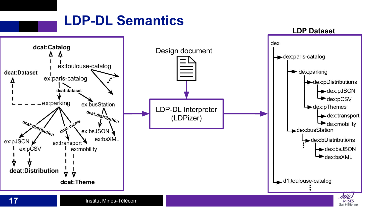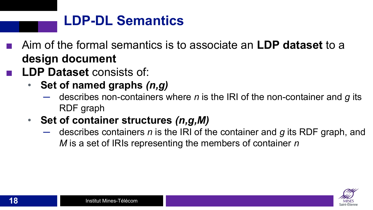- Aim of the formal semantics is to associate an **LDP dataset** to a **design document**
- **LDP Dataset** consists of:
	- **Set of named graphs** *(n,g)*
		- ─ describes non-containers where *n* is the IRI of the non-container and *g* its RDF graph
	- **Set of container structures** *(n,g,M)*
		- describes containers *n* is the IRI of the container and *g* its RDF graph, and *M* is a set of IRIs representing the members of container *n*

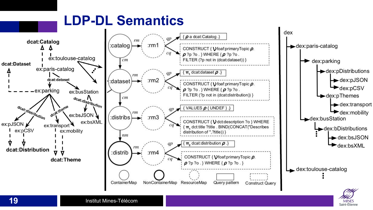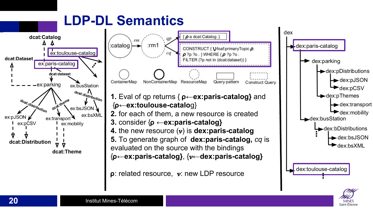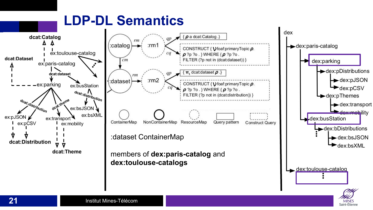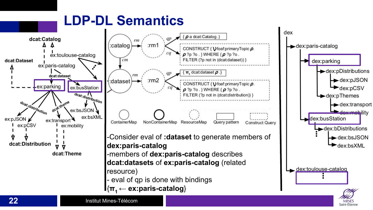

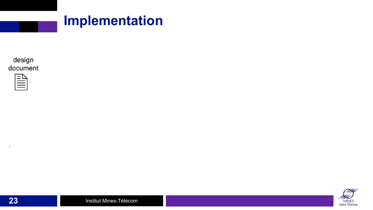

| design   |
|----------|
| document |

**23**

 $\ddot{\cdot}$ 



 $\mathbb{R}^n$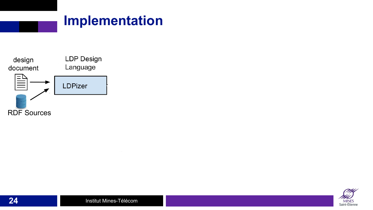



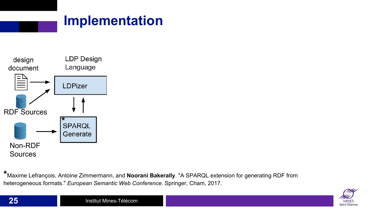



**\***Maxime Lefrançois, Antoine Zimmermann, and **Noorani Bakerally**. "A SPARQL extension for generating RDF from heterogeneous formats." *European Semantic Web Conference*. Springer, Cham, 2017.

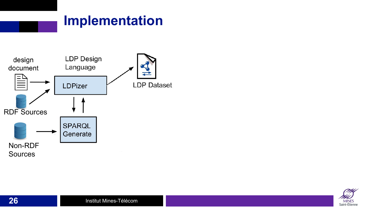

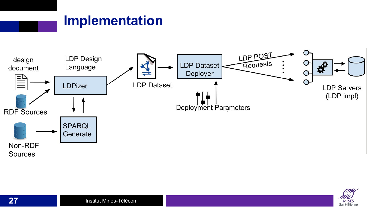

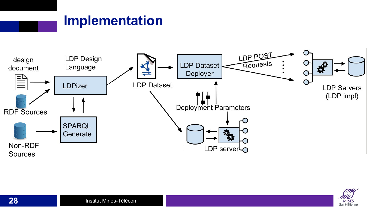

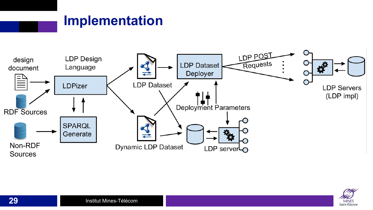

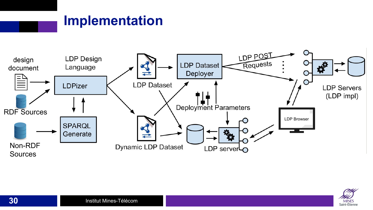

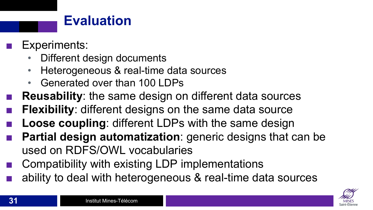#### **Evaluation**

- Experiments:
	- Different design documents
	- Heterogeneous & real-time data sources
	- Generated over than 100 LDPs
- **Reusability:** the same design on different data sources
- **Flexibility:** different designs on the same data source
- **Loose coupling: different LDPs with the same design**
- **Partial design automatization:** generic designs that can be used on RDFS/OWL vocabularies
- Compatibility with existing LDP implementations
- ability to deal with heterogeneous & real-time data sources

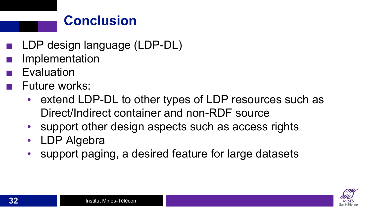## **Conclusion**

- LDP design language (LDP-DL)
- **Implementation**
- **Evaluation**
- Future works:
	- extend LDP-DL to other types of LDP resources such as Direct/Indirect container and non-RDF source
	- support other design aspects such as access rights
	- LDP Algebra
	- support paging, a desired feature for large datasets